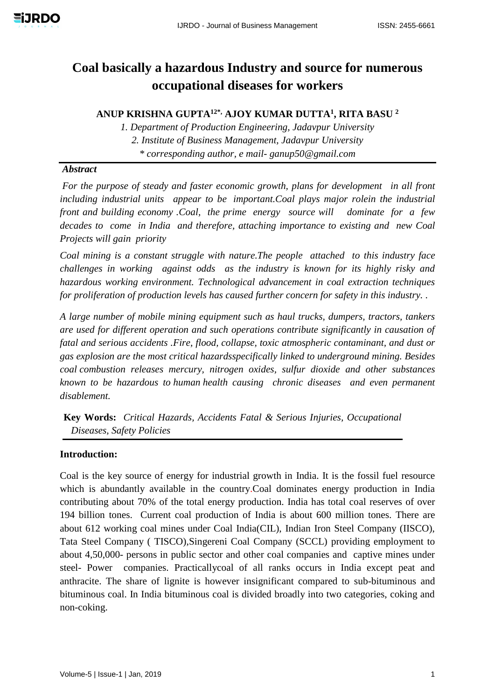# **Coal basically a hazardous Industry and source for numerous occupational diseases for workers**

**ANUP KRISHNA GUPTA12\*, AJOY KUMAR DUTTA<sup>1</sup> , RITA BASU <sup>2</sup>**

*1. Department of Production Engineering, Jadavpur University 2. Institute of Business Management, Jadavpur University \* corresponding author, e mail- ganup50@gmail.com*

## *Abstract*

*For the purpose of steady and faster economic growth, plans for development in all front including industrial units appear to be important.Coal plays major rolein the industrial front and building economy .Coal, the prime energy source will dominate for a few decades to come in India and therefore, attaching importance to existing and new Coal Projects will gain priority*

*Coal mining is a constant struggle with nature.The people attached to this industry face challenges in working against odds as the industry is known for its highly risky and hazardous working environment. Technological advancement in coal extraction techniques for proliferation of production levels has caused further concern for safety in this industry. .*

*A large number of mobile mining equipment such as haul trucks, dumpers, tractors, tankers are used for different operation and such operations contribute significantly in causation of fatal and serious accidents .Fire, flood, collapse, toxic atmospheric contaminant, and dust or gas explosion are the most critical hazardsspecifically linked to underground mining. Besides coal combustion releases mercury, nitrogen oxides, sulfur dioxide and other substances known to be hazardous to human health causing chronic diseases and even permanent disablement.*

**Key Words:** *Critical Hazards, Accidents Fatal & Serious Injuries, Occupational Diseases, Safety Policies*

## **Introduction:**

Coal is the key source of energy for industrial growth in India. It is the fossil fuel resource which is abundantly available in the country.Coal dominates energy production in India contributing about 70% of the total energy production. India has total coal reserves of over 194 billion tones. Current coal production of India is about 600 million tones. There are about 612 working coal mines under Coal India(CIL), Indian Iron Steel Company (IISCO), Tata Steel Company ( TISCO),Singereni Coal Company (SCCL) providing employment to about 4,50,000- persons in public sector and other coal companies and captive mines under steel- Power companies. Practicallycoal of all ranks occurs in India except peat and anthracite. The share of lignite is however insignificant compared to sub-bituminous and bituminous coal. In India bituminous coal is divided broadly into two categories, coking and non-coking.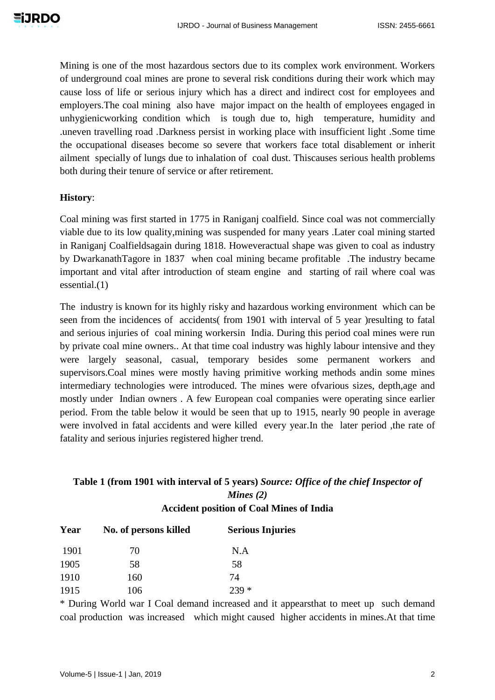Mining is one of the most hazardous sectors due to its complex work environment. Workers of underground coal mines are prone to several risk conditions during their work which may cause loss of life or serious injury which has a direct and indirect cost for employees and employers.The coal mining also have major impact on the health of employees engaged in unhygienicworking condition which is tough due to, high temperature, humidity and .uneven travelling road .Darkness persist in working place with insufficient light .Some time the occupational diseases become so severe that workers face total disablement or inherit ailment specially of lungs due to inhalation of coal dust. Thiscauses serious health problems both during their tenure of service or after retirement.

#### **History**:

Coal mining was first started in 1775 in Raniganj coalfield. Since coal was not commercially viable due to its low quality,mining was suspended for many years .Later coal mining started in Raniganj Coalfieldsagain during 1818. Howeveractual shape was given to coal as industry by DwarkanathTagore in 1837 when coal mining became profitable .The industry became important and vital after introduction of steam engine and starting of rail where coal was essential.(1)

The industry is known for its highly risky and hazardous working environment which can be seen from the incidences of accidents( from 1901 with interval of 5 year )resulting to fatal and serious injuries of coal mining workersin India. During this period coal mines were run by private coal mine owners.. At that time coal industry was highly labour intensive and they were largely seasonal, casual, temporary besides some permanent workers and supervisors.Coal mines were mostly having primitive working methods andin some mines intermediary technologies were introduced. The mines were ofvarious sizes, depth,age and mostly under Indian owners . A few European coal companies were operating since earlier period. From the table below it would be seen that up to 1915, nearly 90 people in average were involved in fatal accidents and were killed every year.In the later period ,the rate of fatality and serious injuries registered higher trend.

# **Table 1 (from 1901 with interval of 5 years)** *Source: Office of the chief Inspector of Mines (2)* **Accident position of Coal Mines of India**

| Year | No. of persons killed | <b>Serious Injuries</b> |
|------|-----------------------|-------------------------|
| 1901 | 70                    | N.A                     |
| 1905 | 58                    | 58                      |
| 1910 | 160                   | 74                      |
| 1915 | 106                   | $239 *$                 |

\* During World war I Coal demand increased and it appearsthat to meet up such demand coal production was increased which might caused higher accidents in mines.At that time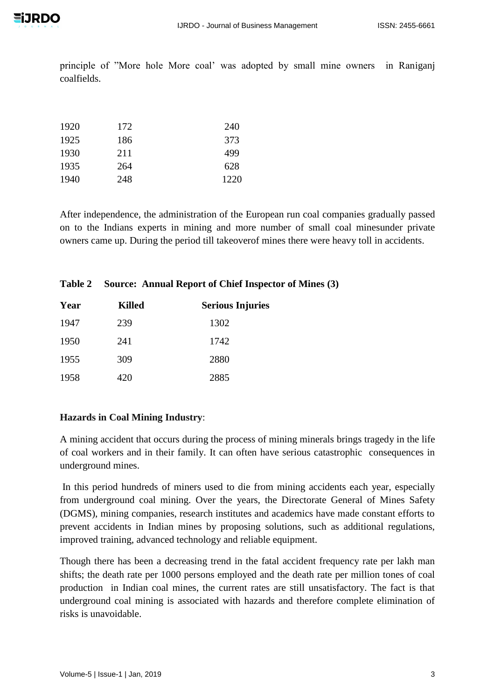principle of "More hole More coal' was adopted by small mine owners in Raniganj coalfields.

| 1920 | 172 | 240  |
|------|-----|------|
| 1925 | 186 | 373  |
| 1930 | 211 | 499  |
| 1935 | 264 | 628  |
| 1940 | 248 | 1220 |

After independence, the administration of the European run coal companies gradually passed on to the Indians experts in mining and more number of small coal minesunder private owners came up. During the period till takeoverof mines there were heavy toll in accidents.

#### **Table 2 Source: Annual Report of Chief Inspector of Mines (3)**

| Year | <b>Killed</b> | <b>Serious Injuries</b> |
|------|---------------|-------------------------|
| 1947 | 239           | 1302                    |
| 1950 | 241           | 1742                    |
| 1955 | 309           | 2880                    |
| 1958 | 420           | 2885                    |

## **Hazards in Coal Mining Industry**:

A mining accident that occurs during the process of mining minerals brings tragedy in the life of coal workers and in their family. It can often have serious catastrophic consequences in underground mines.

In this period hundreds of miners used to die from mining accidents each year, especially from underground coal mining. Over the years, the Directorate General of Mines Safety (DGMS), mining companies, research institutes and academics have made constant efforts to prevent accidents in Indian mines by proposing solutions, such as additional regulations, improved training, advanced technology and reliable equipment.

Though there has been a decreasing trend in the fatal accident frequency rate per lakh man shifts; the death rate per 1000 persons employed and the death rate per million tones of coal production in Indian coal mines, the current rates are still unsatisfactory. The fact is that underground coal mining is associated with hazards and therefore complete elimination of risks is unavoidable.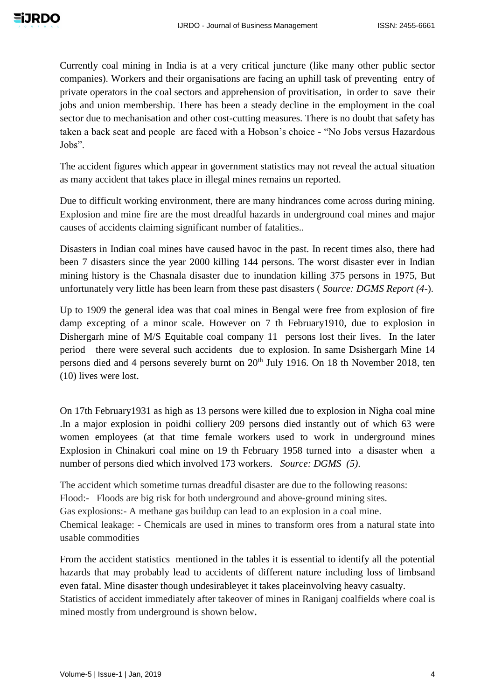Currently coal mining in India is at a very critical juncture (like many other public sector companies). Workers and their organisations are facing an uphill task of preventing entry of private operators in the coal sectors and apprehension of provitisation, in order to save their jobs and union membership. There has been a steady decline in the employment in the coal sector due to mechanisation and other cost-cutting measures. There is no doubt that safety has taken a back seat and people are faced with a Hobson's choice - "No Jobs versus Hazardous Jobs".

The accident figures which appear in government statistics may not reveal the actual situation as many accident that takes place in illegal mines remains un reported.

Due to difficult working environment, there are many hindrances come across during mining. Explosion and mine fire are the most dreadful hazards in underground coal mines and major causes of accidents claiming significant number of fatalities..

Disasters in Indian coal mines have caused havoc in the past. In recent times also, there had been 7 disasters since the year 2000 killing 144 persons. The worst disaster ever in Indian mining history is the Chasnala disaster due to inundation killing 375 persons in 1975, But unfortunately very little has been learn from these past disasters ( *Source: DGMS Report (4-*).

Up to 1909 the general idea was that coal mines in Bengal were free from explosion of fire damp excepting of a minor scale. However on 7 th February1910, due to explosion in Dishergarh mine of M/S Equitable coal company 11 persons lost their lives. In the later period there were several such accidents due to explosion. In same Dsishergarh Mine 14 persons died and 4 persons severely burnt on 20<sup>th</sup> July 1916. On 18 th November 2018, ten (10) lives were lost.

On 17th February1931 as high as 13 persons were killed due to explosion in Nigha coal mine .In a major explosion in poidhi colliery 209 persons died instantly out of which 63 were women employees (at that time female workers used to work in underground mines Explosion in Chinakuri coal mine on 19 th February 1958 turned into a disaster when a number of persons died which involved 173 workers. *Source: DGMS (5)*.

The accident which sometime turnas dreadful disaster are due to the following reasons: Flood:- Floods are big risk for both underground and above-ground mining sites. Gas explosions:- A methane gas buildup can lead to an explosion in a coal mine. Chemical leakage: - Chemicals are used in mines to transform ores from a natural state into usable commodities

From the accident statistics mentioned in the tables it is essential to identify all the potential hazards that may probably lead to accidents of different nature including loss of limbsand even fatal. Mine disaster though undesirableyet it takes placeinvolving heavy casualty. Statistics of accident immediately after takeover of mines in Raniganj coalfields where coal is mined mostly from underground is shown below**.**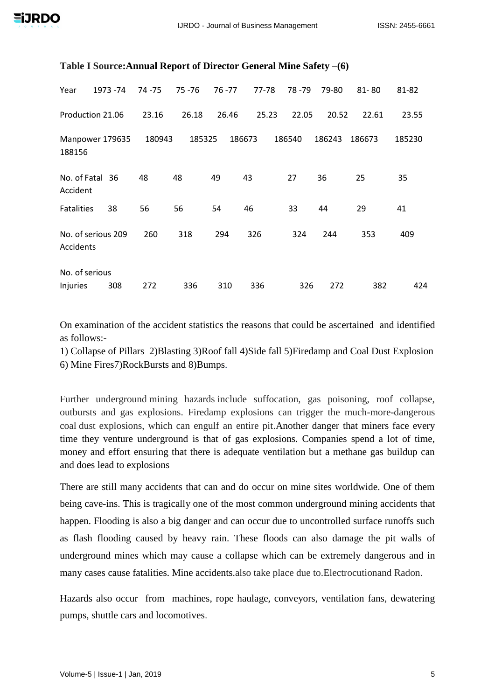| Year                            | 1973 - 74 | 74 - 75 | 75 - 76 | 76 - 77 | 77-78  | 78 - 79 | 79-80  | $81 - 80$ | 81-82  |
|---------------------------------|-----------|---------|---------|---------|--------|---------|--------|-----------|--------|
| Production 21.06                |           | 23.16   | 26.18   | 26.46   | 25.23  | 22.05   | 20.52  | 22.61     | 23.55  |
| Manpower 179635<br>188156       |           | 180943  | 185325  |         | 186673 | 186540  | 186243 | 186673    | 185230 |
| No. of Fatal 36<br>Accident     |           | 48      | 48      | 49      | 43     | 27      | 36     | 25        | 35     |
| <b>Fatalities</b>               | 38        | 56      | 56      | 54      | 46     | 33      | 44     | 29        | 41     |
| No. of serious 209<br>Accidents |           | 260     | 318     | 294     | 326    | 324     | 244    | 353       | 409    |
| No. of serious                  |           |         |         |         |        |         |        |           |        |
| Injuries                        | 308       | 272     | 336     | 310     | 336    | 326     | 272    | 382       | 424    |

#### **Table I Source:Annual Report of Director General Mine Safety –(6)**

On examination of the accident statistics the reasons that could be ascertained and identified as follows:-

1) [Collapse of Pillars](https://mineportal.in/mine-accident.php) 2[\)Blasting](https://mineportal.in/mine-accident.php) 3[\)Roof fall](https://mineportal.in/mine-accident.php) 4[\)Side fall](https://mineportal.in/mine-accident.php) 5[\)Firedamp and Coal Dust Explosion](https://mineportal.in/mine-accident.php) 6) [Mine Fires7\)RockBursts and 8\)Bumps.](https://mineportal.in/mine-accident.php)

Further underground mining hazards include suffocation, gas poisoning, roof collapse, outbursts and gas explosions. Firedamp explosions can trigger the much-more-dangerous coal dust explosions, which can engulf an entire pit.Another danger that miners face every time they venture underground is that of gas explosions. Companies spend a lot of time, money and effort ensuring that there is adequate ventilation but a methane gas buildup can and does lead to explosions

There are still many accidents that can and do occur on mine sites worldwide. One of them being cave-ins. This is tragically one of the most common underground mining accidents that happen. Flooding is also a big danger and can occur due to uncontrolled surface runoffs such as flash flooding caused by heavy rain. These floods can also damage the pit walls of underground mines which may cause a collapse which can be extremely dangerous and in many cases cause fatalities. Mine accidents.also take place due to.Electrocutionand Radon.

Hazards also occur from machines, rope haulage, conveyors, ventilation fans, dewatering pumps, shuttle cars and locomotives.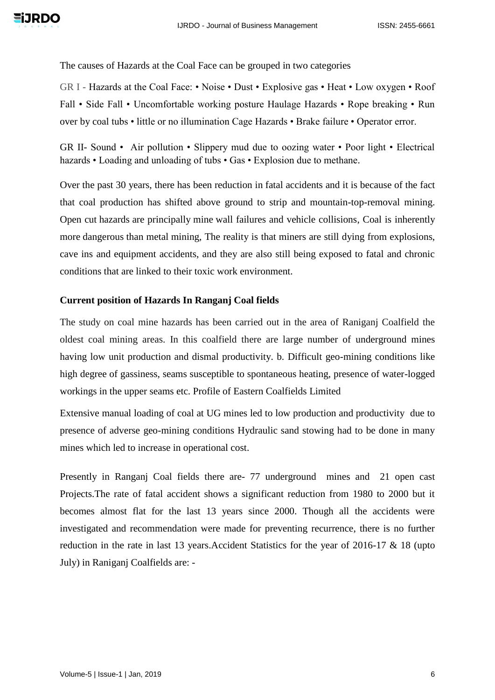The causes of Hazards at the Coal Face can be grouped in two categories

GR I - Hazards at the Coal Face: • Noise • Dust • Explosive gas • Heat • Low oxygen • Roof Fall • Side Fall • Uncomfortable working posture Haulage Hazards • Rope breaking • Run over by coal tubs • little or no illumination Cage Hazards • Brake failure • Operator error.

GR II- Sound • Air pollution • Slippery mud due to oozing water • Poor light • Electrical hazards • Loading and unloading of tubs • Gas • Explosion due to methane.

Over the past 30 years, there has been reduction in fatal accidents and it is because of the fact that coal production has shifted above ground to strip and mountain-top-removal mining. Open cut hazards are principally mine wall failures and vehicle collisions, Coal is inherently more dangerous than metal mining, The reality is that miners are still dying from explosions, cave ins and equipment accidents, and they are also still being exposed to fatal and chronic conditions that are linked to their toxic work environment.

#### **Current position of Hazards In Ranganj Coal fields**

The study on coal mine hazards has been carried out in the area of Raniganj Coalfield the oldest coal mining areas. In this coalfield there are large number of underground mines having low unit production and dismal productivity. b. Difficult geo-mining conditions like high degree of gassiness, seams susceptible to spontaneous heating, presence of water-logged workings in the upper seams etc. Profile of Eastern Coalfields Limited

Extensive manual loading of coal at UG mines led to low production and productivity due to presence of adverse geo-mining conditions Hydraulic sand stowing had to be done in many mines which led to increase in operational cost.

Presently in Ranganj Coal fields there are- 77 underground mines and 21 open cast Projects.The rate of fatal accident shows a significant reduction from 1980 to 2000 but it becomes almost flat for the last 13 years since 2000. Though all the accidents were investigated and recommendation were made for preventing recurrence, there is no further reduction in the rate in last 13 years.Accident Statistics for the year of 2016-17 & 18 (upto July) in Raniganj Coalfields are: -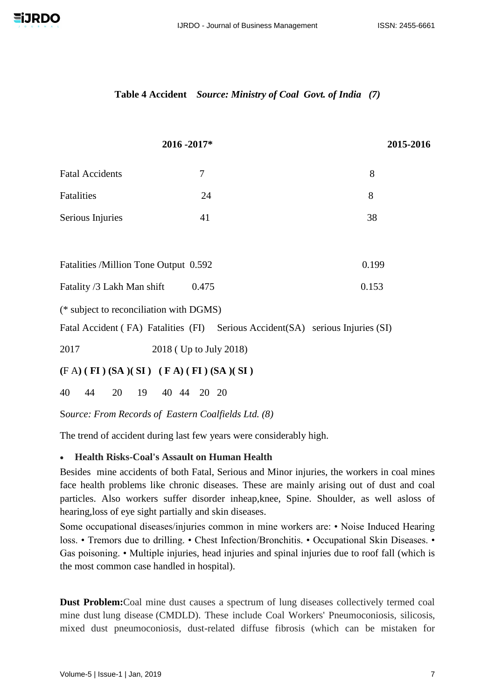

#### **Table 4 Accident** *Source: Ministry of Coal Govt. of India (7)*

|                                                                                 | 2016 - 2017*           | 2015-2016 |  |
|---------------------------------------------------------------------------------|------------------------|-----------|--|
| <b>Fatal Accidents</b>                                                          | 7                      | 8         |  |
| Fatalities                                                                      | 24                     | 8         |  |
| Serious Injuries                                                                | 41                     | 38        |  |
|                                                                                 |                        |           |  |
| Fatalities /Million Tone Output 0.592                                           |                        | 0.199     |  |
| Fatality /3 Lakh Man shift                                                      | 0.475                  | 0.153     |  |
| (* subject to reconciliation with DGMS)                                         |                        |           |  |
| Fatal Accident (FA) Fatalities (FI) Serious Accident (SA) serious Injuries (SI) |                        |           |  |
| 2017                                                                            | 2018 (Up to July 2018) |           |  |
| $(F A) (FI) (SA) (SI) (FA) (FI) (SA) (SI)$                                      |                        |           |  |
| 40<br>19<br>44<br>20                                                            | 40 44<br>20 20         |           |  |
|                                                                                 |                        |           |  |

S*ource: From Records of Eastern Coalfields Ltd. (8)*

The trend of accident during last few years were considerably high.

## **Health Risks-Coal's Assault on Human Health**

Besides mine accidents of both Fatal, Serious and Minor injuries, the workers in coal mines face health problems like chronic diseases. These are mainly arising out of dust and coal particles. Also workers suffer disorder inheap,knee, Spine. Shoulder, as well asloss of hearing,loss of eye sight partially and skin diseases.

Some occupational diseases/injuries common in mine workers are: • Noise Induced Hearing loss. • Tremors due to drilling. • Chest Infection/Bronchitis. • Occupational Skin Diseases. • Gas poisoning. • Multiple injuries, head injuries and spinal injuries due to roof fall (which is the most common case handled in hospital).

**Dust Problem:**Coal mine dust causes a spectrum of lung diseases collectively termed coal mine dust lung disease (CMDLD). These include Coal Workers' Pneumoconiosis, silicosis, mixed dust pneumoconiosis, dust-related diffuse fibrosis (which can be mistaken for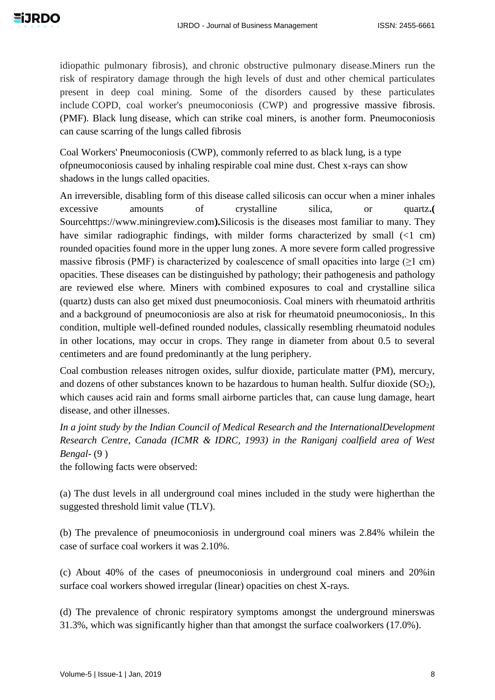idiopathic pulmonary fibrosis), and chronic obstructive pulmonary disease.Miners run the risk of respiratory damage through the high levels of dust and other chemical particulates present in deep coal mining. Some of the disorders caused by these particulates include COPD, coal worker's pneumoconiosis (CWP) and progressive massive fibrosis. (PMF). Black lung disease, which can strike coal miners, is another form. Pneumoconiosis can cause scarring of the lungs called fibrosis

Coal Workers' Pneumoconiosis (CWP), commonly referred to as black lung, is a type ofpneumoconiosis caused by inhaling respirable coal mine dust. Chest x-rays can show shadows in the lungs called opacities.

An irreversible, disabling form of this disease called silicosis can occur when a miner inhales excessive amounts of crystalline silica, or quartz**.(**  Sourcehttps://www.miningreview.com**).**Silicosis is the diseases most familiar to many. They have similar radiographic findings, with milder forms characterized by small (<1 cm) rounded opacities found more in the upper lung zones. A more severe form called progressive massive fibrosis (PMF) is characterized by coalescence of small opacities into large  $(\geq 1 \text{ cm})$ opacities. These diseases can be distinguished by pathology; their pathogenesis and pathology are reviewed else where. Miners with combined exposures to coal and crystalline silica (quartz) dusts can also get mixed dust pneumoconiosis. Coal miners with rheumatoid arthritis and a background of pneumoconiosis are also at risk for rheumatoid pneumoconiosis,. In this condition, multiple well-defined rounded nodules, classically resembling rheumatoid nodules in other locations, may occur in crops. They range in diameter from about 0.5 to several centimeters and are found predominantly at the lung periphery.

Coal combustion releases nitrogen oxides, sulfur dioxide, particulate matter (PM), mercury, and dozens of other substances known to be hazardous to human health. Sulfur dioxide  $(SO<sub>2</sub>)$ , which causes acid rain and forms small airborne particles that, can cause lung damage, heart disease, and other illnesses.

*In a joint study by the Indian Council of Medical Research and the InternationalDevelopment Research Centre, Canada (ICMR & IDRC, 1993) in the Raniganj coalfield area of West Bengal-* (9 )

the following facts were observed:

(a) The dust levels in all underground coal mines included in the study were higherthan the suggested threshold limit value (TLV).

(b) The prevalence of pneumoconiosis in underground coal miners was 2.84% whilein the case of surface coal workers it was 2.10%.

(c) About 40% of the cases of pneumoconiosis in underground coal miners and 20%in surface coal workers showed irregular (linear) opacities on chest X-rays.

(d) The prevalence of chronic respiratory symptoms amongst the underground minerswas 31.3%, which was significantly higher than that amongst the surface coalworkers (17.0%).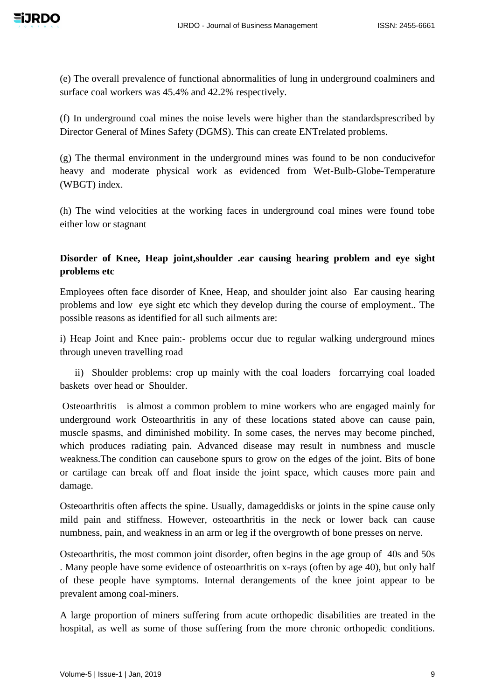(e) The overall prevalence of functional abnormalities of lung in underground coalminers and surface coal workers was 45.4% and 42.2% respectively.

(f) In underground coal mines the noise levels were higher than the standardsprescribed by Director General of Mines Safety (DGMS). This can create ENTrelated problems.

(g) The thermal environment in the underground mines was found to be non conducivefor heavy and moderate physical work as evidenced from Wet-Bulb-Globe-Temperature (WBGT) index.

(h) The wind velocities at the working faces in underground coal mines were found tobe either low or stagnant

# **Disorder of Knee, Heap joint,shoulder .ear causing hearing problem and eye sight problems etc**

Employees often face disorder of Knee, Heap, and shoulder joint also Ear causing hearing problems and low eye sight etc which they develop during the course of employment.. The possible reasons as identified for all such ailments are:

i) Heap Joint and Knee pain:- problems occur due to regular walking underground mines through uneven travelling road

 ii) Shoulder problems: crop up mainly with the coal loaders forcarrying coal loaded baskets over head or Shoulder.

Osteoarthritis is almost a common problem to mine workers who are engaged mainly for underground work Osteoarthritis in any of these locations stated above can cause pain, muscle spasms, and diminished mobility. In some cases, the nerves may become pinched, which produces radiating pain. Advanced disease may result in numbness and muscle weakness.The condition can causebone spurs to grow on the edges of the joint. Bits of bone or cartilage can break off and float inside the joint space, which causes more pain and damage.

Osteoarthritis often affects the spine. Usually, damageddisks or joints in the spine cause only mild pain and stiffness. However, osteoarthritis in the neck or lower back can cause numbness, pain, and weakness in an arm or leg if the overgrowth of bone presses on nerve.

Osteoarthritis, the most common joint disorder, often begins in the age group of 40s and 50s . Many people have some evidence of osteoarthritis on x-rays (often by age 40), but only half of these people have symptoms. Internal derangements of the knee joint appear to be prevalent among coal-miners.

A large proportion of miners suffering from acute orthopedic disabilities are treated in the hospital, as well as some of those suffering from the more chronic orthopedic conditions.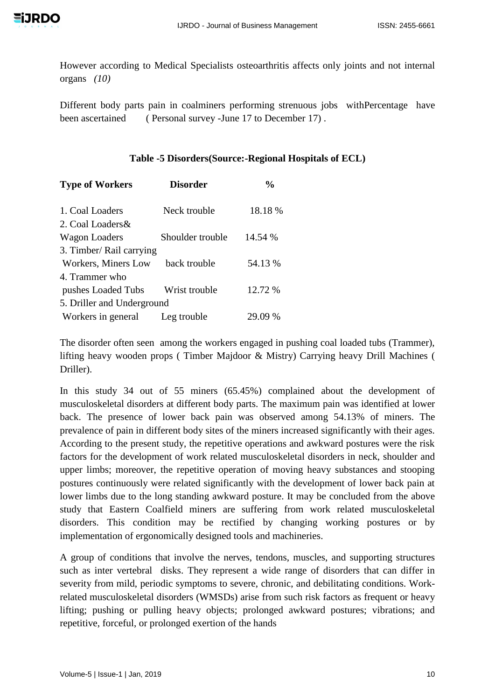However according to Medical Specialists osteoarthritis affects only joints and not internal organs *(10)*

Different body parts pain in coalminers performing strenuous jobs withPercentage have been ascertained ( Personal survey -June 17 to December 17).

## **Table -5 Disorders(Source:-Regional Hospitals of ECL)**

| <b>Type of Workers</b>     | <b>Disorder</b>  | $\frac{0}{0}$ |
|----------------------------|------------------|---------------|
| 1. Coal Loaders            | Neck trouble     | 18.18 %       |
| 2. Coal Loaders &          |                  |               |
| <b>Wagon Loaders</b>       | Shoulder trouble | 14.54 %       |
| 3. Timber/ Rail carrying   |                  |               |
| Workers, Miners Low        | back trouble     | 54.13 %       |
| 4. Trammer who             |                  |               |
| pushes Loaded Tubs         | Wrist trouble    | 12.72 %       |
| 5. Driller and Underground |                  |               |
| Workers in general         | Leg trouble      | 29.09 %       |

The disorder often seen among the workers engaged in pushing coal loaded tubs (Trammer), lifting heavy wooden props ( Timber Majdoor & Mistry) Carrying heavy Drill Machines ( Driller).

In this study 34 out of 55 miners (65.45%) complained about the development of musculoskeletal disorders at different body parts. The maximum pain was identified at lower back. The presence of lower back pain was observed among 54.13% of miners. The prevalence of pain in different body sites of the miners increased significantly with their ages. According to the present study, the repetitive operations and awkward postures were the risk factors for the development of work related musculoskeletal disorders in neck, shoulder and upper limbs; moreover, the repetitive operation of moving heavy substances and stooping postures continuously were related significantly with the development of lower back pain at lower limbs due to the long standing awkward posture. It may be concluded from the above study that Eastern Coalfield miners are suffering from work related musculoskeletal disorders. This condition may be rectified by changing working postures or by implementation of ergonomically designed tools and machineries.

A group of conditions that involve the nerves, tendons, muscles, and supporting structures such as inter vertebral disks. They represent a wide range of disorders that can differ in severity from mild, periodic symptoms to severe, chronic, and debilitating conditions. Workrelated musculoskeletal disorders (WMSDs) arise from such risk factors as frequent or heavy lifting; pushing or pulling heavy objects; prolonged awkward postures; vibrations; and repetitive, forceful, or prolonged exertion of the hands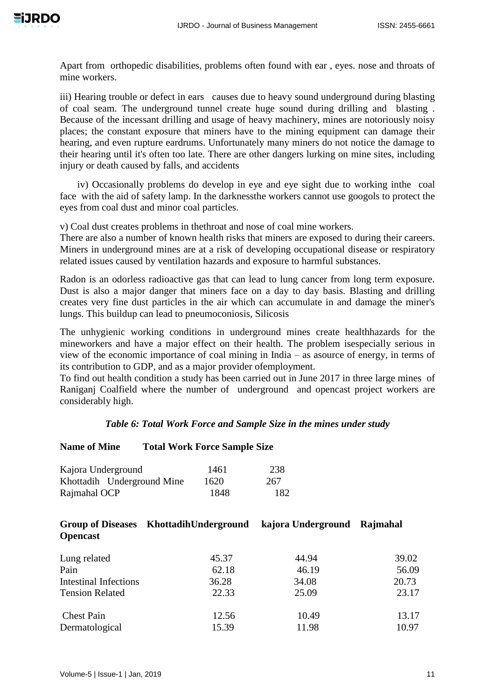Apart from orthopedic disabilities, problems often found with ear , eyes. nose and throats of mine workers.

iii) Hearing trouble or defect in ears causes due to heavy sound underground during blasting of coal seam. The underground tunnel create huge sound during drilling and blasting . Because of the incessant drilling and usage of heavy machinery, mines are notoriously noisy places; the constant exposure that miners have to the mining equipment can damage their hearing, and even rupture eardrums. Unfortunately many miners do not notice the damage to their hearing until it's often too late. There are other dangers lurking on mine sites, including injury or death caused by falls, and accidents

 iv) Occasionally problems do develop in eye and eye sight due to working inthe coal face with the aid of safety lamp. In the darknessthe workers cannot use googols to protect the eyes from coal dust and minor coal particles.

v) Coal dust creates problems in thethroat and nose of coal mine workers.

There are also a number of known health risks that miners are exposed to during their careers. Miners in underground mines are at a risk of developing occupational disease or respiratory related issues caused by ventilation hazards and exposure to harmful substances.

Radon is an odorless radioactive gas that can lead to lung cancer from long term exposure. Dust is also a major danger that miners face on a day to day basis. Blasting and drilling creates very fine dust particles in the air which can accumulate in and damage the miner's lungs. This buildup can lead to pneumoconiosis, Silicosis

The unhygienic working conditions in underground mines create healthhazards for the mineworkers and have a major effect on their health. The problem isespecially serious in view of the economic importance of coal mining in India – as asource of energy, in terms of its contribution to GDP, and as a major provider ofemployment.

To find out health condition a study has been carried out in June 2017 in three large mines of Raniganj Coalfield where the number of underground and opencast project workers are considerably high.

## *Table 6: Total Work Force and Sample Size in the mines under study*

## **Name of Mine Total Work Force Sample Size**

| Kajora Underground         | 1461 | 238 |
|----------------------------|------|-----|
| Khottadih Underground Mine | 1620 | 267 |
| Rajmahal OCP               | 1848 | 182 |

| <b>Opencast</b>              | Group of Diseases KhottadihUnderground | kajora Underground Rajmahal |       |
|------------------------------|----------------------------------------|-----------------------------|-------|
| Lung related                 | 45.37                                  | 44.94                       | 39.02 |
| Pain                         | 62.18                                  | 46.19                       | 56.09 |
| <b>Intestinal Infections</b> | 36.28                                  | 34.08                       | 20.73 |
| <b>Tension Related</b>       | 22.33                                  | 25.09                       | 23.17 |
| <b>Chest Pain</b>            | 12.56                                  | 10.49                       | 13.17 |
| Dermatological               | 15.39                                  | 11.98                       | 10.97 |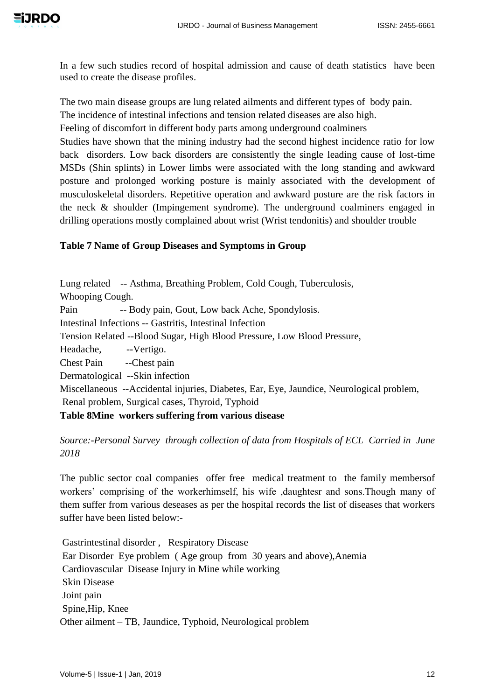In a few such studies record of hospital admission and cause of death statistics have been used to create the disease profiles.

The two main disease groups are lung related ailments and different types of body pain.

The incidence of intestinal infections and tension related diseases are also high.

Feeling of discomfort in different body parts among underground coalminers

Studies have shown that the mining industry had the second highest incidence ratio for low back disorders. Low back disorders are consistently the single leading cause of lost-time MSDs (Shin splints) in Lower limbs were associated with the long standing and awkward posture and prolonged working posture is mainly associated with the development of musculoskeletal disorders. Repetitive operation and awkward posture are the risk factors in the neck & shoulder (Impingement syndrome). The underground coalminers engaged in drilling operations mostly complained about wrist (Wrist tendonitis) and shoulder trouble

# **Table 7 Name of Group Diseases and Symptoms in Group**

Lung related -- Asthma, Breathing Problem, Cold Cough, Tuberculosis, Whooping Cough. Pain -- Body pain, Gout, Low back Ache, Spondylosis. Intestinal Infections -- Gastritis, Intestinal Infection Tension Related --Blood Sugar, High Blood Pressure, Low Blood Pressure, Headache, --Vertigo. Chest Pain --Chest pain Dermatological --Skin infection Miscellaneous --Accidental injuries, Diabetes, Ear, Eye, Jaundice, Neurological problem, Renal problem, Surgical cases, Thyroid, Typhoid

# **Table 8Mine workers suffering from various disease**

*Source:-Personal Survey through collection of data from Hospitals of ECL Carried in June 2018*

The public sector coal companies offer free medical treatment to the family membersof workers' comprising of the workerhimself, his wife ,daughtesr and sons.Though many of them suffer from various deseases as per the hospital records the list of diseases that workers suffer have been listed below:-

Gastrintestinal disorder , Respiratory Disease Ear Disorder Eye problem ( Age group from 30 years and above),Anemia Cardiovascular Disease Injury in Mine while working Skin Disease Joint pain Spine,Hip, Knee Other ailment – TB, Jaundice, Typhoid, Neurological problem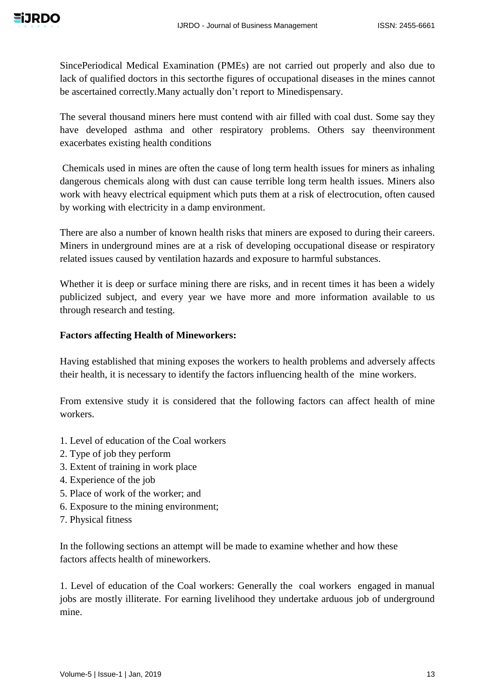

SincePeriodical Medical Examination (PMEs) are not carried out properly and also due to lack of qualified doctors in this sectorthe figures of occupational diseases in the mines cannot be ascertained correctly.Many actually don't report to Minedispensary.

The several thousand miners here must contend with air filled with coal dust. Some say they have developed asthma and other respiratory problems. Others say theenvironment exacerbates existing health conditions

Chemicals used in mines are often the cause of long term health issues for miners as inhaling dangerous chemicals along with dust can cause terrible long term health issues. Miners also work with heavy electrical equipment which puts them at a risk of electrocution, often caused by working with electricity in a damp environment.

There are also a number of known health risks that miners are exposed to during their careers. Miners in underground mines are at a risk of developing occupational disease or respiratory related issues caused by ventilation hazards and exposure to harmful substances.

Whether it is deep or surface mining there are risks, and in recent times it has been a widely publicized subject, and every year we have more and more information available to us through research and testing.

## **Factors affecting Health of Mineworkers:**

Having established that mining exposes the workers to health problems and adversely affects their health, it is necessary to identify the factors influencing health of the mine workers.

From extensive study it is considered that the following factors can affect health of mine workers.

- 1. Level of education of the Coal workers
- 2. Type of job they perform
- 3. Extent of training in work place
- 4. Experience of the job
- 5. Place of work of the worker; and
- 6. Exposure to the mining environment;
- 7. Physical fitness

In the following sections an attempt will be made to examine whether and how these factors affects health of mineworkers.

1. Level of education of the Coal workers: Generally the coal workers engaged in manual jobs are mostly illiterate. For earning livelihood they undertake arduous job of underground mine.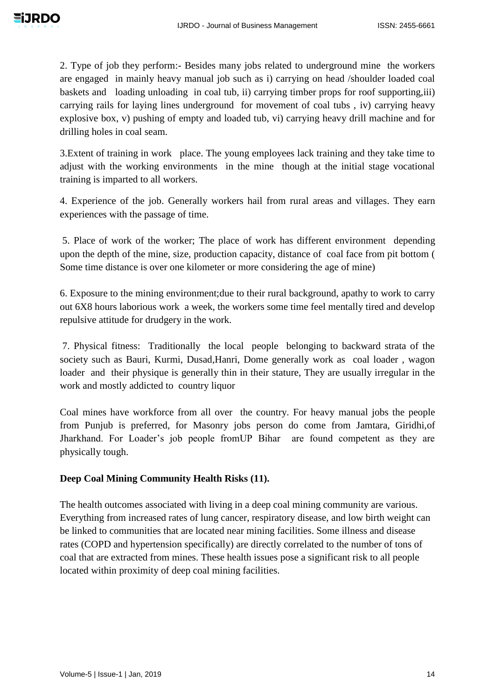2. Type of job they perform:- Besides many jobs related to underground mine the workers are engaged in mainly heavy manual job such as i) carrying on head /shoulder loaded coal baskets and loading unloading in coal tub, ii) carrying timber props for roof supporting,iii) carrying rails for laying lines underground for movement of coal tubs , iv) carrying heavy explosive box, v) pushing of empty and loaded tub, vi) carrying heavy drill machine and for drilling holes in coal seam.

3.Extent of training in work place. The young employees lack training and they take time to adjust with the working environments in the mine though at the initial stage vocational training is imparted to all workers.

4. Experience of the job. Generally workers hail from rural areas and villages. They earn experiences with the passage of time.

5. Place of work of the worker; The place of work has different environment depending upon the depth of the mine, size, production capacity, distance of coal face from pit bottom ( Some time distance is over one kilometer or more considering the age of mine)

6. Exposure to the mining environment;due to their rural background, apathy to work to carry out 6X8 hours laborious work a week, the workers some time feel mentally tired and develop repulsive attitude for drudgery in the work.

7. Physical fitness: Traditionally the local people belonging to backward strata of the society such as Bauri, Kurmi, Dusad,Hanri, Dome generally work as coal loader , wagon loader and their physique is generally thin in their stature, They are usually irregular in the work and mostly addicted to country liquor

Coal mines have workforce from all over the country. For heavy manual jobs the people from Punjub is preferred, for Masonry jobs person do come from Jamtara, Giridhi,of Jharkhand. For Loader's job people fromUP Bihar are found competent as they are physically tough.

# **Deep Coal Mining Community Health Risks (11).**

The health outcomes associated with living in a deep coal mining community are various. Everything from increased rates of lung cancer, respiratory disease, and low birth weight can be linked to communities that are located near mining facilities. Some illness and disease rates (COPD and hypertension specifically) are directly correlated to the number of tons of coal that are extracted from mines. These health issues pose a significant risk to all people located within proximity of deep coal mining facilities.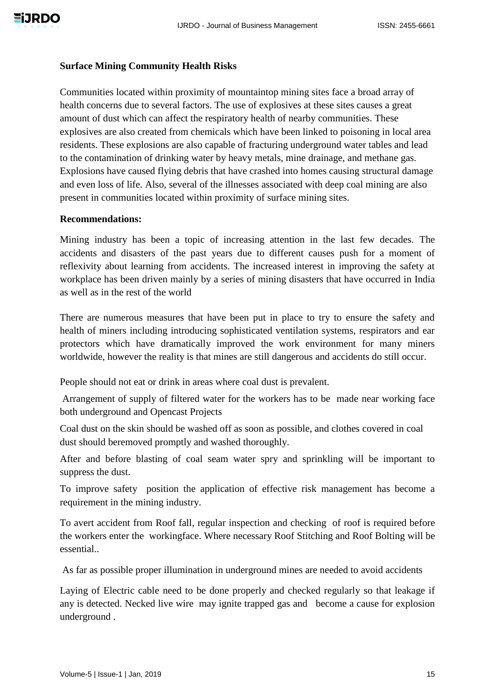#### **Surface Mining Community Health Risks**

Communities located within proximity of mountaintop mining sites face a broad array of health concerns due to several factors. The use of explosives at these sites causes a great amount of dust which can affect the respiratory health of nearby communities. These explosives are also created from chemicals which have been linked to poisoning in local area residents. These explosions are also capable of fracturing underground water tables and lead to the contamination of drinking water by heavy metals, mine drainage, and methane gas. Explosions have caused flying debris that have crashed into homes causing structural damage and even loss of life. Also, several of the illnesses associated with deep coal mining are also present in communities located within proximity of surface mining sites.

#### **Recommendations:**

Mining industry has been a topic of increasing attention in the last few decades. The accidents and disasters of the past years due to different causes push for a moment of reflexivity about learning from accidents. The increased interest in improving the safety at workplace has been driven mainly by a series of mining disasters that have occurred in India as well as in the rest of the world

There are numerous measures that have been put in place to try to ensure the safety and health of miners including introducing sophisticated ventilation systems, respirators and ear protectors which have dramatically improved the work environment for many miners worldwide, however the reality is that mines are still dangerous and accidents do still occur.

People should not eat or drink in areas where coal dust is prevalent.

Arrangement of supply of filtered water for the workers has to be made near working face both underground and Opencast Projects

Coal dust on the skin should be washed off as soon as possible, and clothes covered in coal dust should beremoved promptly and washed thoroughly.

After and before blasting of coal seam water spry and sprinkling will be important to suppress the dust.

To improve safety position the application of effective risk management has become a requirement in the mining industry.

To avert accident from Roof fall, regular inspection and checking of roof is required before the workers enter the workingface. Where necessary Roof Stitching and Roof Bolting will be essential..

As far as possible proper illumination in underground mines are needed to avoid accidents

Laying of Electric cable need to be done properly and checked regularly so that leakage if any is detected. Necked live wire may ignite trapped gas and become a cause for explosion underground .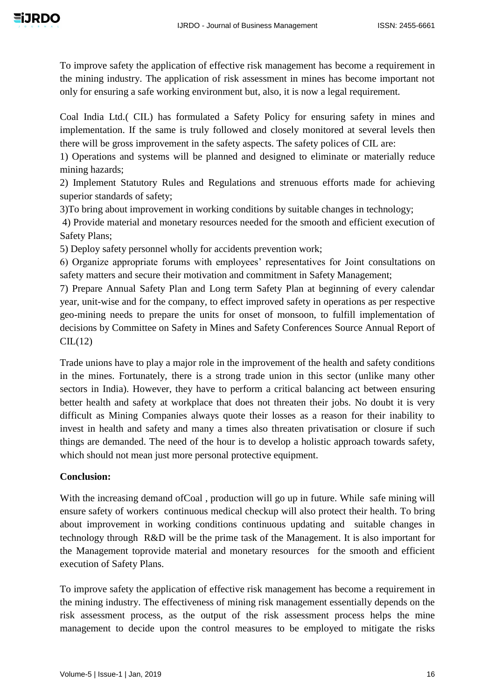To improve safety the application of effective risk management has become a requirement in the mining industry. The application of risk assessment in mines has become important not only for ensuring a safe working environment but, also, it is now a legal requirement.

Coal India Ltd.( CIL) has formulated a Safety Policy for ensuring safety in mines and implementation. If the same is truly followed and closely monitored at several levels then there will be gross improvement in the safety aspects. The safety polices of CIL are:

1) Operations and systems will be planned and designed to eliminate or materially reduce mining hazards;

2) Implement Statutory Rules and Regulations and strenuous efforts made for achieving superior standards of safety;

3)To bring about improvement in working conditions by suitable changes in technology;

4) Provide material and monetary resources needed for the smooth and efficient execution of Safety Plans;

5) Deploy safety personnel wholly for accidents prevention work;

6) Organize appropriate forums with employees' representatives for Joint consultations on safety matters and secure their motivation and commitment in Safety Management;

7) Prepare Annual Safety Plan and Long term Safety Plan at beginning of every calendar year, unit-wise and for the company, to effect improved safety in operations as per respective geo-mining needs to prepare the units for onset of monsoon, to fulfill implementation of decisions by Committee on Safety in Mines and Safety Conferences Source Annual Report of  $CL(12)$ 

Trade unions have to play a major role in the improvement of the health and safety conditions in the mines. Fortunately, there is a strong trade union in this sector (unlike many other sectors in India). However, they have to perform a critical balancing act between ensuring better health and safety at workplace that does not threaten their jobs. No doubt it is very difficult as Mining Companies always quote their losses as a reason for their inability to invest in health and safety and many a times also threaten privatisation or closure if such things are demanded. The need of the hour is to develop a holistic approach towards safety, which should not mean just more personal protective equipment.

# **Conclusion:**

With the increasing demand of Coal, production will go up in future. While safe mining will ensure safety of workers continuous medical checkup will also protect their health. To bring about improvement in working conditions continuous updating and suitable changes in technology through R&D will be the prime task of the Management. It is also important for the Management toprovide material and monetary resources for the smooth and efficient execution of Safety Plans.

To improve safety the application of effective risk management has become a requirement in the mining industry. The effectiveness of mining risk management essentially depends on the risk assessment process, as the output of the risk assessment process helps the mine management to decide upon the control measures to be employed to mitigate the risks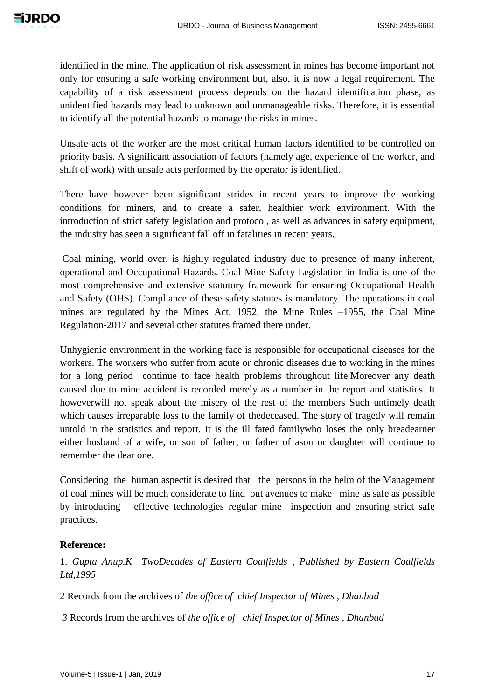identified in the mine. The application of risk assessment in mines has become important not only for ensuring a safe working environment but, also, it is now a legal requirement. The capability of a risk assessment process depends on the hazard identification phase, as unidentified hazards may lead to unknown and unmanageable risks. Therefore, it is essential to identify all the potential hazards to manage the risks in mines.

Unsafe acts of the worker are the most critical human factors identified to be controlled on priority basis. A significant association of factors (namely age, experience of the worker, and shift of work) with unsafe acts performed by the operator is identified.

There have however been significant strides in recent years to improve the working conditions for miners, and to create a safer, healthier work environment. With the introduction of strict safety legislation and protocol, as well as advances in safety equipment, the industry has seen a significant fall off in fatalities in recent years.

Coal mining, world over, is highly regulated industry due to presence of many inherent, operational and Occupational Hazards. Coal Mine Safety Legislation in India is one of the most comprehensive and extensive statutory framework for ensuring Occupational Health and Safety (OHS). Compliance of these safety statutes is mandatory. The operations in coal mines are regulated by the Mines Act, 1952, the Mine Rules –1955, the Coal Mine Regulation-2017 and several other statutes framed there under.

Unhygienic environment in the working face is responsible for occupational diseases for the workers. The workers who suffer from acute or chronic diseases due to working in the mines for a long period continue to face health problems throughout life.Moreover any death caused due to mine accident is recorded merely as a number in the report and statistics. It howeverwill not speak about the misery of the rest of the members Such untimely death which causes irreparable loss to the family of thedeceased. The story of tragedy will remain untold in the statistics and report. It is the ill fated familywho loses the only breadearner either husband of a wife, or son of father, or father of ason or daughter will continue to remember the dear one.

Considering the human aspectit is desired that the persons in the helm of the Management of coal mines will be much considerate to find out avenues to make mine as safe as possible by introducing effective technologies regular mine inspection and ensuring strict safe practices.

## **Reference:**

1. *Gupta Anup.K TwoDecades of Eastern Coalfields , Published by Eastern Coalfields Ltd,1995* 

2 Records from the archives of *the office of chief Inspector of Mines , Dhanbad*

*3* Records from the archives of *the office of chief Inspector of Mines , Dhanbad*